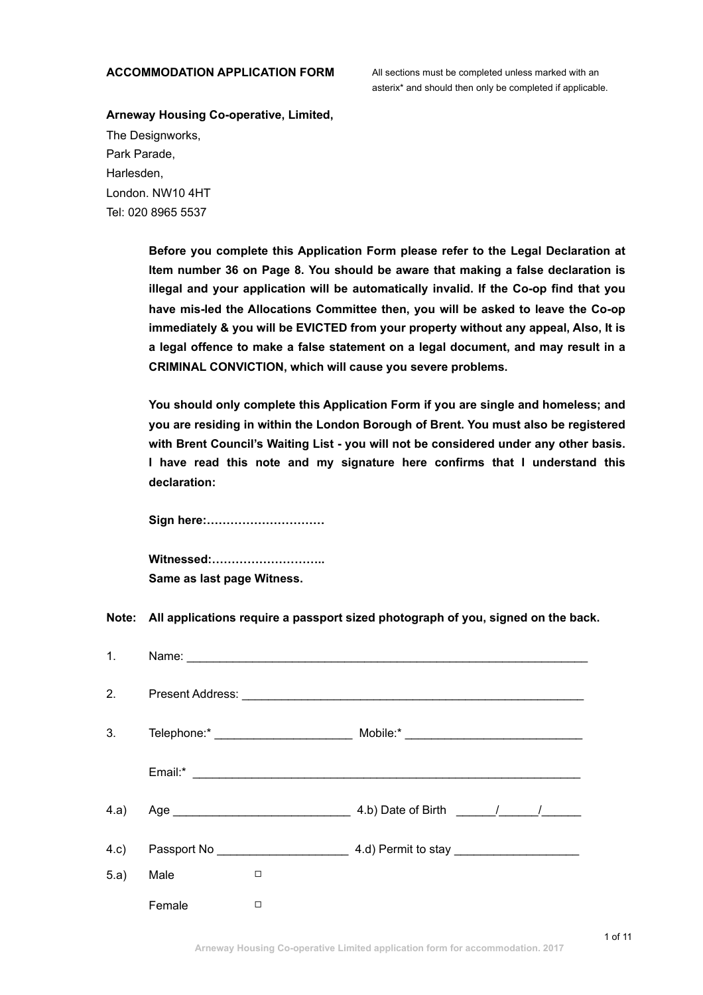## **ACCOMMODATION APPLICATION FORM** All sections must be completed unless marked with an

asterix\* and should then only be completed if applicable.

# **Arneway Housing Co-operative, Limited,**

The Designworks, Park Parade, Harlesden, London. NW10 4HT Tel: 020 8965 5537

> **Before you complete this Application Form please refer to the Legal Declaration at Item number 36 on Page 8. You should be aware that making a false declaration is illegal and your application will be automatically invalid. If the Co-op find that you have mis-led the Allocations Committee then, you will be asked to leave the Co-op immediately & you will be EVICTED from your property without any appeal, Also, It is a legal offence to make a false statement on a legal document, and may result in a CRIMINAL CONVICTION, which will cause you severe problems.**

> **You should only complete this Application Form if you are single and homeless; and you are residing in within the London Borough of Brent. You must also be registered with Brent Council's Waiting List - you will not be considered under any other basis. I have read this note and my signature here confirms that I understand this declaration:**

**Sign here:…………………………** 

**Witnessed:……………………….. Same as last page Witness.** 

**Note: All applications require a passport sized photograph of you, signed on the back.** 

| $\mathbf{1}$ . |        |        |                                                              |
|----------------|--------|--------|--------------------------------------------------------------|
| 2.             |        |        |                                                              |
| 3.             |        |        |                                                              |
|                |        |        |                                                              |
| 4.a)           |        |        | 4.b) Date of Birth $\frac{1}{2}$ $\frac{1}{2}$ $\frac{1}{2}$ |
| 4.c)           |        |        |                                                              |
| 5.a)           | Male   | □      |                                                              |
|                | Female | $\Box$ |                                                              |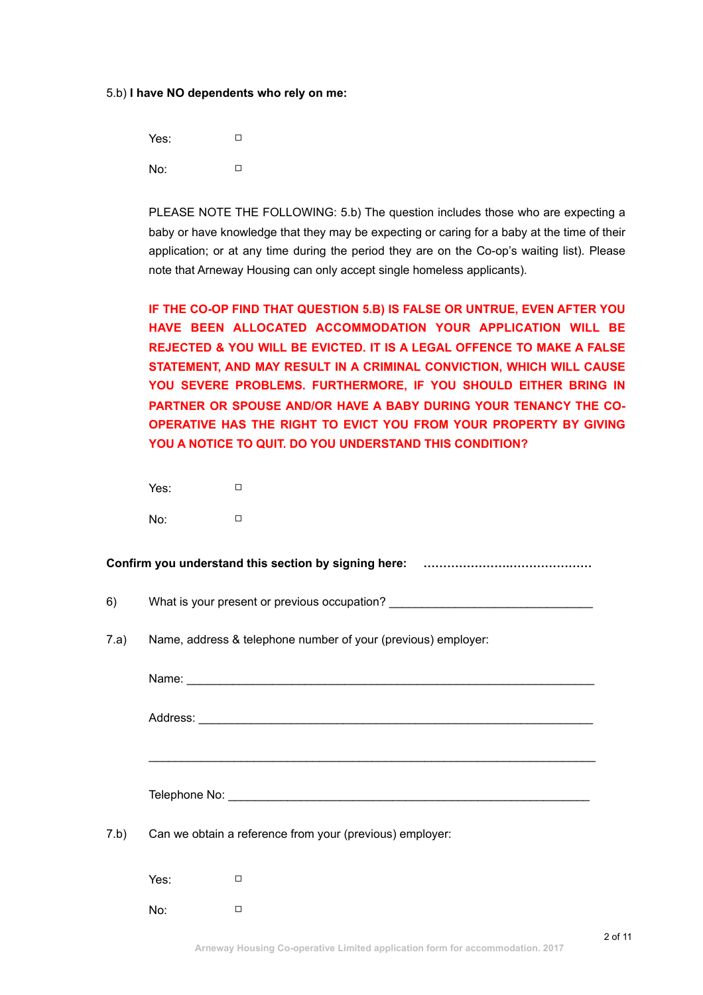#### 5.b) **I have NO dependents who rely on me:**

Yes: □ No: □

PLEASE NOTE THE FOLLOWING: 5.b) The question includes those who are expecting a baby or have knowledge that they may be expecting or caring for a baby at the time of their application; or at any time during the period they are on the Co-op's waiting list). Please note that Arneway Housing can only accept single homeless applicants).

**IF THE CO-OP FIND THAT QUESTION 5.B) IS FALSE OR UNTRUE, EVEN AFTER YOU HAVE BEEN ALLOCATED ACCOMMODATION YOUR APPLICATION WILL BE REJECTED & YOU WILL BE EVICTED. IT IS A LEGAL OFFENCE TO MAKE A FALSE STATEMENT, AND MAY RESULT IN A CRIMINAL CONVICTION, WHICH WILL CAUSE YOU SEVERE PROBLEMS. FURTHERMORE, IF YOU SHOULD EITHER BRING IN PARTNER OR SPOUSE AND/OR HAVE A BABY DURING YOUR TENANCY THE CO-OPERATIVE HAS THE RIGHT TO EVICT YOU FROM YOUR PROPERTY BY GIVING YOU A NOTICE TO QUIT. DO YOU UNDERSTAND THIS CONDITION?**

Yes: □ No: □

**Confirm you understand this section by signing here: ………………….…………………** 

6) What is your present or previous occupation?

7.a) Name, address & telephone number of your (previous) employer:

Name: Address: \_\_\_\_\_\_\_\_\_\_\_\_\_\_\_\_\_\_\_\_\_\_\_\_\_\_\_\_\_\_\_\_\_\_\_\_\_\_\_\_\_\_\_\_\_\_\_\_\_\_\_\_\_\_\_\_\_\_\_\_  $\mathcal{L}_\mathcal{L} = \mathcal{L}_\mathcal{L} = \mathcal{L}_\mathcal{L} = \mathcal{L}_\mathcal{L} = \mathcal{L}_\mathcal{L} = \mathcal{L}_\mathcal{L} = \mathcal{L}_\mathcal{L} = \mathcal{L}_\mathcal{L} = \mathcal{L}_\mathcal{L} = \mathcal{L}_\mathcal{L} = \mathcal{L}_\mathcal{L} = \mathcal{L}_\mathcal{L} = \mathcal{L}_\mathcal{L} = \mathcal{L}_\mathcal{L} = \mathcal{L}_\mathcal{L} = \mathcal{L}_\mathcal{L} = \mathcal{L}_\mathcal{L}$ 

Telephone No: \_\_\_\_\_\_\_\_\_\_\_\_\_\_\_\_\_\_\_\_\_\_\_\_\_\_\_\_\_\_\_\_\_\_\_\_\_\_\_\_\_\_\_\_\_\_\_\_\_\_\_\_\_\_\_

7.b) Can we obtain a reference from your (previous) employer:

Yes: □ No: □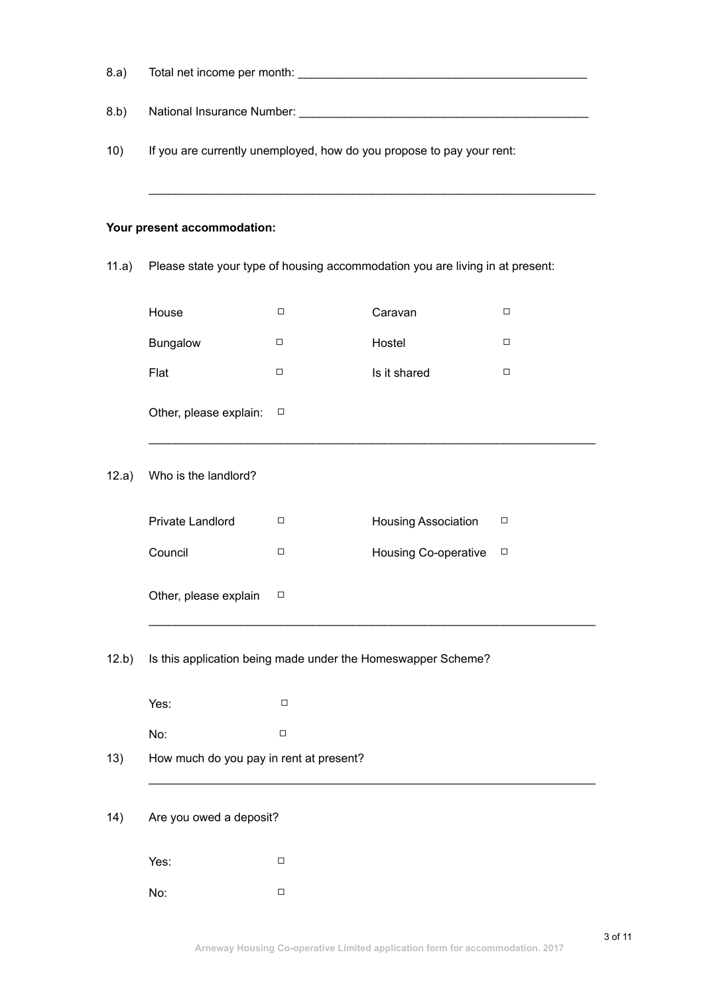| 8.a)  |                                                                               |        |                             |        |  |
|-------|-------------------------------------------------------------------------------|--------|-----------------------------|--------|--|
| 8.b)  |                                                                               |        |                             |        |  |
| 10)   | If you are currently unemployed, how do you propose to pay your rent:         |        |                             |        |  |
|       | Your present accommodation:                                                   |        |                             |        |  |
| 11.a) | Please state your type of housing accommodation you are living in at present: |        |                             |        |  |
|       | House                                                                         | □      | Caravan                     | □      |  |
|       | Bungalow                                                                      | $\Box$ | Hostel                      | $\Box$ |  |
|       | Flat                                                                          | □      | Is it shared                | $\Box$ |  |
|       | Other, please explain:                                                        | □      |                             |        |  |
| 12.a) | Who is the landlord?                                                          |        |                             |        |  |
|       | Private Landlord                                                              | □      | Housing Association         | □      |  |
|       | Council                                                                       | □      | <b>Housing Co-operative</b> | $\Box$ |  |
|       | Other, please explain $\square$                                               |        |                             |        |  |
| 12.b) | Is this application being made under the Homeswapper Scheme?                  |        |                             |        |  |
|       | Yes:                                                                          | $\Box$ |                             |        |  |
|       | No:                                                                           | $\Box$ |                             |        |  |
| 13)   | How much do you pay in rent at present?                                       |        |                             |        |  |
| 14)   | Are you owed a deposit?                                                       |        |                             |        |  |
|       | Yes:                                                                          | □      |                             |        |  |
|       | No:                                                                           | $\Box$ |                             |        |  |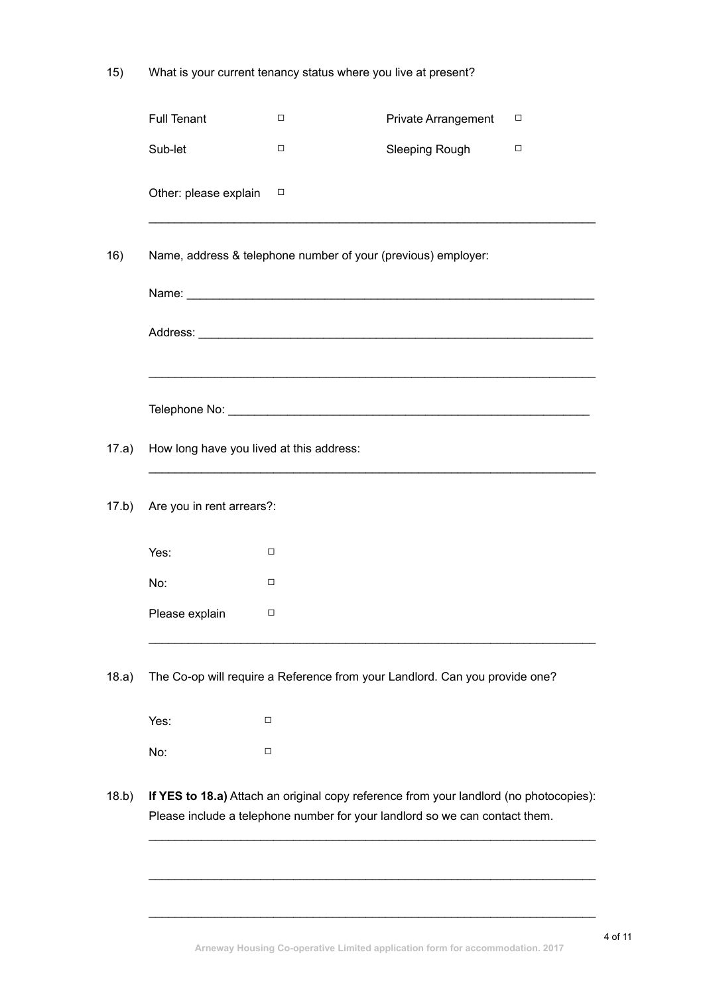15) What is your current tenancy status where you live at present?

|       | <b>Full Tenant</b>                                                                                                                                                    | □      | Private Arrangement | □ |  |
|-------|-----------------------------------------------------------------------------------------------------------------------------------------------------------------------|--------|---------------------|---|--|
|       | Sub-let                                                                                                                                                               | □      | Sleeping Rough      | □ |  |
|       | Other: please explain                                                                                                                                                 | $\Box$ |                     |   |  |
| 16)   | Name, address & telephone number of your (previous) employer:                                                                                                         |        |                     |   |  |
|       |                                                                                                                                                                       |        |                     |   |  |
|       |                                                                                                                                                                       |        |                     |   |  |
|       |                                                                                                                                                                       |        |                     |   |  |
| 17.a) | How long have you lived at this address:                                                                                                                              |        |                     |   |  |
| 17.b) | Are you in rent arrears?:                                                                                                                                             |        |                     |   |  |
|       | Yes:                                                                                                                                                                  | □      |                     |   |  |
|       | No:                                                                                                                                                                   | □      |                     |   |  |
|       | Please explain                                                                                                                                                        | □      |                     |   |  |
| 18.a) | The Co-op will require a Reference from your Landlord. Can you provide one?                                                                                           |        |                     |   |  |
|       | Yes:                                                                                                                                                                  | □      |                     |   |  |
|       | No:                                                                                                                                                                   | $\Box$ |                     |   |  |
| 18.b) | If YES to 18.a) Attach an original copy reference from your landlord (no photocopies):<br>Please include a telephone number for your landlord so we can contact them. |        |                     |   |  |
|       |                                                                                                                                                                       |        |                     |   |  |

 $\mathcal{L}_\text{G} = \{ \mathcal{L}_\text{G} \mid \mathcal{L}_\text{G} \text{ and } \mathcal{L}_\text{G} \text{ and } \mathcal{L}_\text{G} \text{ and } \mathcal{L}_\text{G} \text{ and } \mathcal{L}_\text{G} \text{ and } \mathcal{L}_\text{G} \text{ and } \mathcal{L}_\text{G} \text{ and } \mathcal{L}_\text{G} \text{ and } \mathcal{L}_\text{G} \text{ and } \mathcal{L}_\text{G} \text{ and } \mathcal{L}_\text{G} \text{ and } \mathcal{L}_\text{G} \text{ and } \$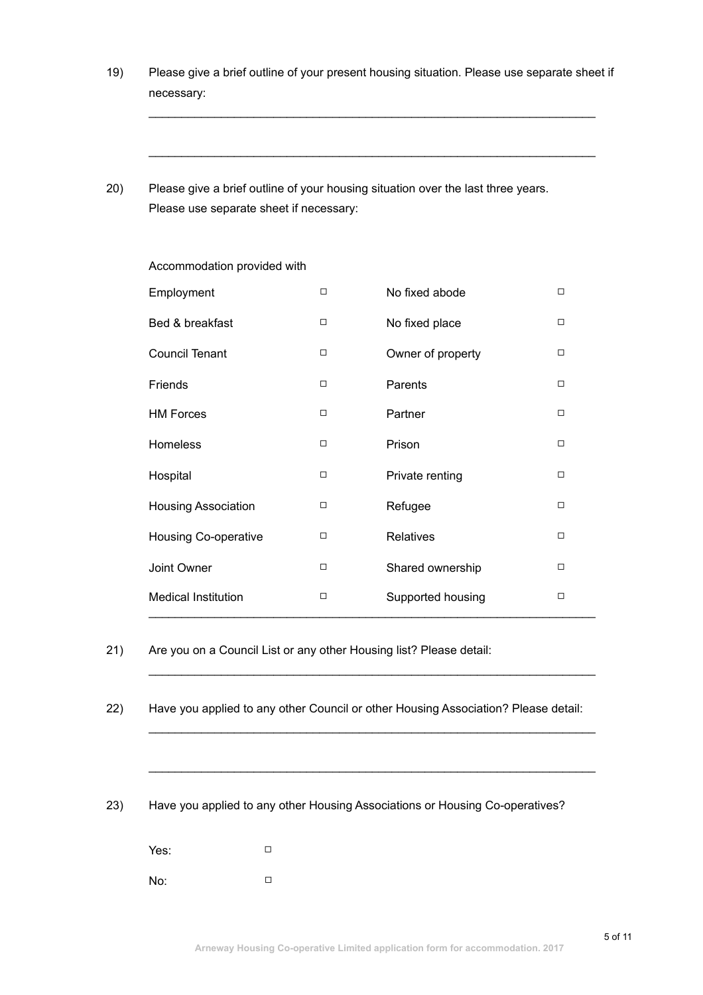19) Please give a brief outline of your present housing situation. Please use separate sheet if necessary:

 $\mathcal{L}_\mathcal{L} = \mathcal{L}_\mathcal{L} = \mathcal{L}_\mathcal{L} = \mathcal{L}_\mathcal{L} = \mathcal{L}_\mathcal{L} = \mathcal{L}_\mathcal{L} = \mathcal{L}_\mathcal{L} = \mathcal{L}_\mathcal{L} = \mathcal{L}_\mathcal{L} = \mathcal{L}_\mathcal{L} = \mathcal{L}_\mathcal{L} = \mathcal{L}_\mathcal{L} = \mathcal{L}_\mathcal{L} = \mathcal{L}_\mathcal{L} = \mathcal{L}_\mathcal{L} = \mathcal{L}_\mathcal{L} = \mathcal{L}_\mathcal{L}$ 

 $\mathcal{L}_\mathcal{L} = \mathcal{L}_\mathcal{L} = \mathcal{L}_\mathcal{L} = \mathcal{L}_\mathcal{L} = \mathcal{L}_\mathcal{L} = \mathcal{L}_\mathcal{L} = \mathcal{L}_\mathcal{L} = \mathcal{L}_\mathcal{L} = \mathcal{L}_\mathcal{L} = \mathcal{L}_\mathcal{L} = \mathcal{L}_\mathcal{L} = \mathcal{L}_\mathcal{L} = \mathcal{L}_\mathcal{L} = \mathcal{L}_\mathcal{L} = \mathcal{L}_\mathcal{L} = \mathcal{L}_\mathcal{L} = \mathcal{L}_\mathcal{L}$ 

20) Please give a brief outline of your housing situation over the last three years. Please use separate sheet if necessary:

| Employment                  | □      | No fixed abode    | $\Box$ |
|-----------------------------|--------|-------------------|--------|
| Bed & breakfast             | □      | No fixed place    | □      |
| <b>Council Tenant</b>       | □      | Owner of property | □      |
| Friends                     | $\Box$ | Parents           | $\Box$ |
| <b>HM Forces</b>            | □      | Partner           | $\Box$ |
| Homeless                    | □      | Prison            | $\Box$ |
| Hospital                    | □      | Private renting   | $\Box$ |
| <b>Housing Association</b>  | □      | Refugee           | □      |
| <b>Housing Co-operative</b> | □      | <b>Relatives</b>  | $\Box$ |
| Joint Owner                 | □      | Shared ownership  | $\Box$ |
| <b>Medical Institution</b>  | □      | Supported housing | □      |

Accommodation provided with

21) Are you on a Council List or any other Housing list? Please detail:

22) Have you applied to any other Council or other Housing Association? Please detail:

 $\mathcal{L}_\mathcal{L} = \mathcal{L}_\mathcal{L} = \mathcal{L}_\mathcal{L} = \mathcal{L}_\mathcal{L} = \mathcal{L}_\mathcal{L} = \mathcal{L}_\mathcal{L} = \mathcal{L}_\mathcal{L} = \mathcal{L}_\mathcal{L} = \mathcal{L}_\mathcal{L} = \mathcal{L}_\mathcal{L} = \mathcal{L}_\mathcal{L} = \mathcal{L}_\mathcal{L} = \mathcal{L}_\mathcal{L} = \mathcal{L}_\mathcal{L} = \mathcal{L}_\mathcal{L} = \mathcal{L}_\mathcal{L} = \mathcal{L}_\mathcal{L}$ 

 $\mathcal{L}_\mathcal{L} = \mathcal{L}_\mathcal{L} = \mathcal{L}_\mathcal{L} = \mathcal{L}_\mathcal{L} = \mathcal{L}_\mathcal{L} = \mathcal{L}_\mathcal{L} = \mathcal{L}_\mathcal{L} = \mathcal{L}_\mathcal{L} = \mathcal{L}_\mathcal{L} = \mathcal{L}_\mathcal{L} = \mathcal{L}_\mathcal{L} = \mathcal{L}_\mathcal{L} = \mathcal{L}_\mathcal{L} = \mathcal{L}_\mathcal{L} = \mathcal{L}_\mathcal{L} = \mathcal{L}_\mathcal{L} = \mathcal{L}_\mathcal{L}$ 

 $\mathcal{L}_\mathcal{L}$  , and the contribution of the contribution of the contribution of the contribution of the contribution of the contribution of the contribution of the contribution of the contribution of the contribution of

23) Have you applied to any other Housing Associations or Housing Co-operatives?

Yes: □ No: □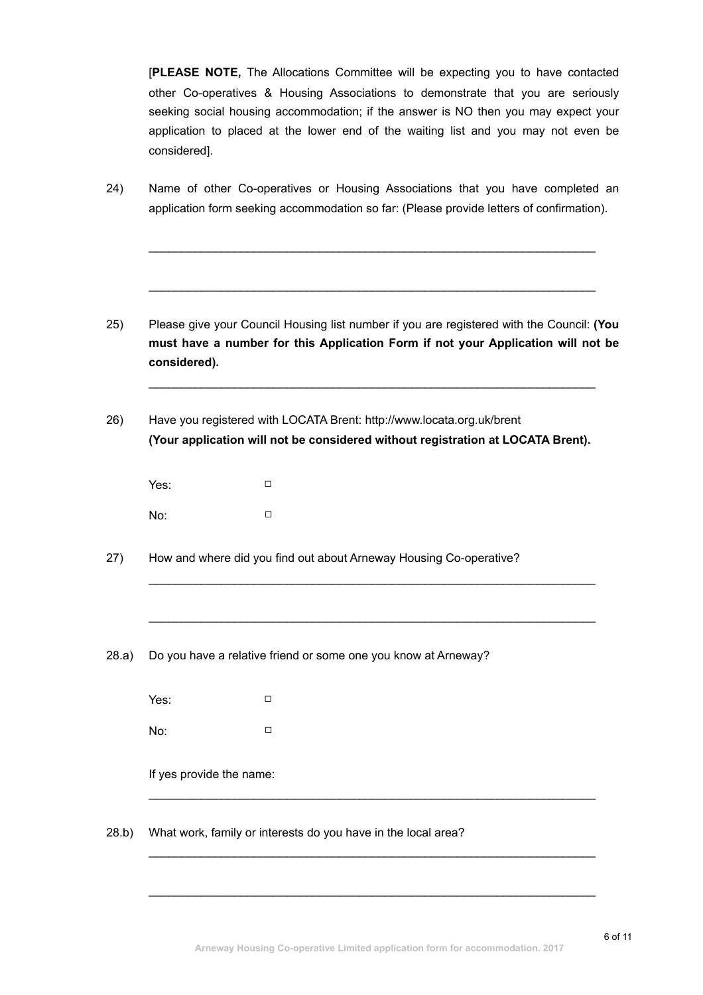[**PLEASE NOTE,** The Allocations Committee will be expecting you to have contacted other Co-operatives & Housing Associations to demonstrate that you are seriously seeking social housing accommodation; if the answer is NO then you may expect your application to placed at the lower end of the waiting list and you may not even be considered].

24) Name of other Co-operatives or Housing Associations that you have completed an application form seeking accommodation so far: (Please provide letters of confirmation).

 $\mathcal{L}_\mathcal{L} = \mathcal{L}_\mathcal{L}$  , where  $\mathcal{L}_\mathcal{L}$  , we have the set of the set of the set of the set of the set of the set of the set of the set of the set of the set of the set of the set of the set of the set of the se

 $\mathcal{L}_\mathcal{L} = \mathcal{L}_\mathcal{L}$  , where  $\mathcal{L}_\mathcal{L}$  , we have the set of the set of the set of the set of the set of the set of the set of the set of the set of the set of the set of the set of the set of the set of the se

- 25) Please give your Council Housing list number if you are registered with the Council: **(You must have a number for this Application Form if not your Application will not be considered).**
- 26) Have you registered with LOCATA Brent: http://www.locata.org.uk/brent **(Your application will not be considered without registration at LOCATA Brent).**

 $\mathcal{L}_\mathcal{L} = \mathcal{L}_\mathcal{L} = \mathcal{L}_\mathcal{L} = \mathcal{L}_\mathcal{L} = \mathcal{L}_\mathcal{L} = \mathcal{L}_\mathcal{L} = \mathcal{L}_\mathcal{L} = \mathcal{L}_\mathcal{L} = \mathcal{L}_\mathcal{L} = \mathcal{L}_\mathcal{L} = \mathcal{L}_\mathcal{L} = \mathcal{L}_\mathcal{L} = \mathcal{L}_\mathcal{L} = \mathcal{L}_\mathcal{L} = \mathcal{L}_\mathcal{L} = \mathcal{L}_\mathcal{L} = \mathcal{L}_\mathcal{L}$ 

 $\mathcal{L}_\mathcal{L} = \mathcal{L}_\mathcal{L} = \mathcal{L}_\mathcal{L} = \mathcal{L}_\mathcal{L} = \mathcal{L}_\mathcal{L} = \mathcal{L}_\mathcal{L} = \mathcal{L}_\mathcal{L} = \mathcal{L}_\mathcal{L} = \mathcal{L}_\mathcal{L} = \mathcal{L}_\mathcal{L} = \mathcal{L}_\mathcal{L} = \mathcal{L}_\mathcal{L} = \mathcal{L}_\mathcal{L} = \mathcal{L}_\mathcal{L} = \mathcal{L}_\mathcal{L} = \mathcal{L}_\mathcal{L} = \mathcal{L}_\mathcal{L}$ 

 $\mathcal{L}_\mathcal{L} = \mathcal{L}_\mathcal{L}$  , where  $\mathcal{L}_\mathcal{L}$  , we have the set of the set of the set of the set of the set of the set of the set of the set of the set of the set of the set of the set of the set of the set of the se

 $\mathcal{L}_\mathcal{L} = \mathcal{L}_\mathcal{L} = \mathcal{L}_\mathcal{L} = \mathcal{L}_\mathcal{L} = \mathcal{L}_\mathcal{L} = \mathcal{L}_\mathcal{L} = \mathcal{L}_\mathcal{L} = \mathcal{L}_\mathcal{L} = \mathcal{L}_\mathcal{L} = \mathcal{L}_\mathcal{L} = \mathcal{L}_\mathcal{L} = \mathcal{L}_\mathcal{L} = \mathcal{L}_\mathcal{L} = \mathcal{L}_\mathcal{L} = \mathcal{L}_\mathcal{L} = \mathcal{L}_\mathcal{L} = \mathcal{L}_\mathcal{L}$ 

 $\mathcal{L}_\mathcal{L} = \mathcal{L}_\mathcal{L} = \mathcal{L}_\mathcal{L} = \mathcal{L}_\mathcal{L} = \mathcal{L}_\mathcal{L} = \mathcal{L}_\mathcal{L} = \mathcal{L}_\mathcal{L} = \mathcal{L}_\mathcal{L} = \mathcal{L}_\mathcal{L} = \mathcal{L}_\mathcal{L} = \mathcal{L}_\mathcal{L} = \mathcal{L}_\mathcal{L} = \mathcal{L}_\mathcal{L} = \mathcal{L}_\mathcal{L} = \mathcal{L}_\mathcal{L} = \mathcal{L}_\mathcal{L} = \mathcal{L}_\mathcal{L}$ 

 $\mathcal{L}_\mathcal{L} = \mathcal{L}_\mathcal{L} = \mathcal{L}_\mathcal{L} = \mathcal{L}_\mathcal{L} = \mathcal{L}_\mathcal{L} = \mathcal{L}_\mathcal{L} = \mathcal{L}_\mathcal{L} = \mathcal{L}_\mathcal{L} = \mathcal{L}_\mathcal{L} = \mathcal{L}_\mathcal{L} = \mathcal{L}_\mathcal{L} = \mathcal{L}_\mathcal{L} = \mathcal{L}_\mathcal{L} = \mathcal{L}_\mathcal{L} = \mathcal{L}_\mathcal{L} = \mathcal{L}_\mathcal{L} = \mathcal{L}_\mathcal{L}$ 

| Yes: | □ |  |
|------|---|--|
| No:  | □ |  |

- 27) How and where did you find out about Arneway Housing Co-operative?
- 28.a) Do you have a relative friend or some one you know at Arneway?

Yes: □ No: □

If yes provide the name:

28.b) What work, family or interests do you have in the local area?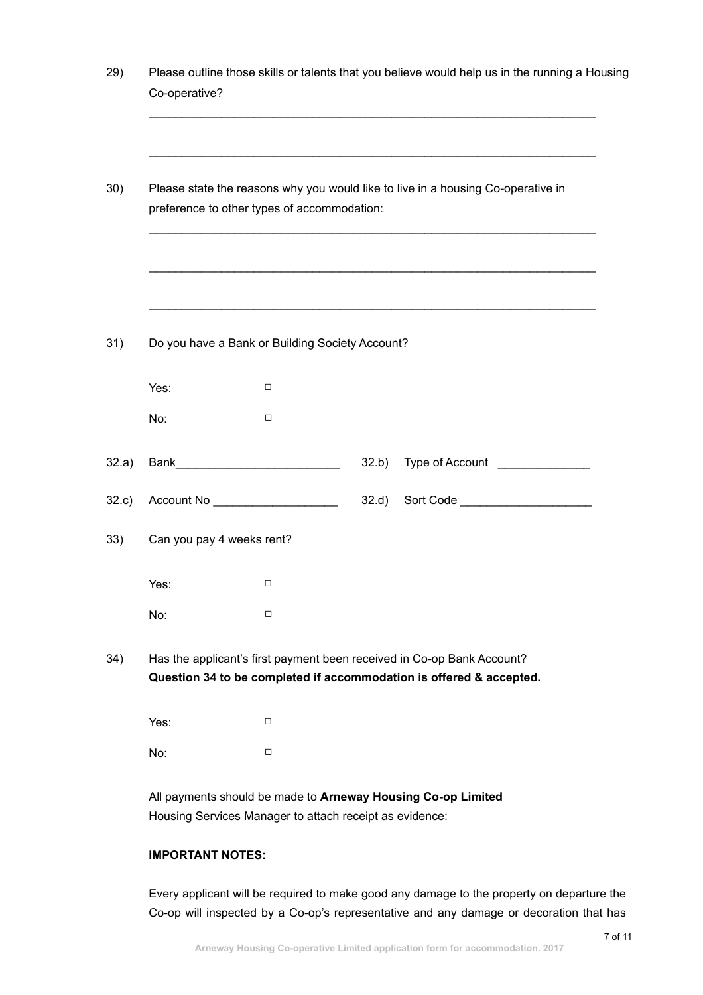|                           | preference to other types of accommodation:     | Please state the reasons why you would like to live in a housing Co-operative in                                                              |
|---------------------------|-------------------------------------------------|-----------------------------------------------------------------------------------------------------------------------------------------------|
|                           |                                                 |                                                                                                                                               |
|                           | Do you have a Bank or Building Society Account? |                                                                                                                                               |
| Yes:                      | □                                               |                                                                                                                                               |
| No:                       | $\Box$                                          |                                                                                                                                               |
|                           |                                                 | 32.b)<br>Type of Account <u>_____________</u>                                                                                                 |
|                           | Account No _____________________                | Sort Code _______________________<br>32.d)                                                                                                    |
| Can you pay 4 weeks rent? |                                                 |                                                                                                                                               |
| Yes:                      | □                                               |                                                                                                                                               |
| No:                       | □                                               |                                                                                                                                               |
|                           |                                                 | Has the applicant's first payment been received in Co-op Bank Account?<br>Question 34 to be completed if accommodation is offered & accepted. |
| Yes:                      | □                                               |                                                                                                                                               |
| No:                       | □                                               |                                                                                                                                               |

# **IMPORTANT NOTES:**

Every applicant will be required to make good any damage to the property on departure the Co-op will inspected by a Co-op's representative and any damage or decoration that has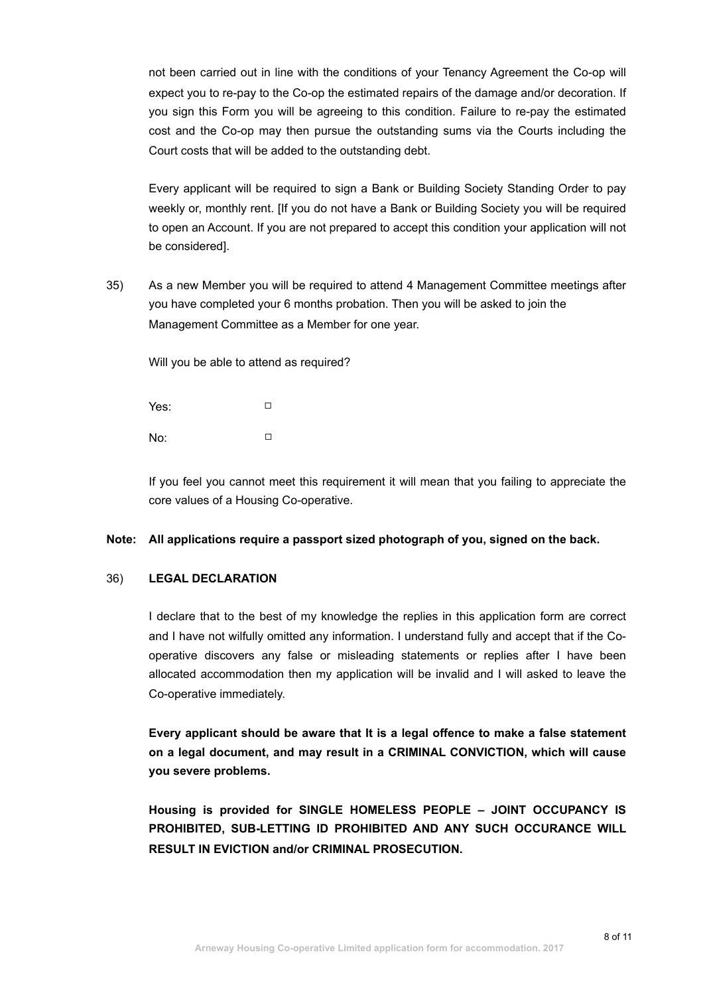not been carried out in line with the conditions of your Tenancy Agreement the Co-op will expect you to re-pay to the Co-op the estimated repairs of the damage and/or decoration. If you sign this Form you will be agreeing to this condition. Failure to re-pay the estimated cost and the Co-op may then pursue the outstanding sums via the Courts including the Court costs that will be added to the outstanding debt.

Every applicant will be required to sign a Bank or Building Society Standing Order to pay weekly or, monthly rent. [If you do not have a Bank or Building Society you will be required to open an Account. If you are not prepared to accept this condition your application will not be considered].

35) As a new Member you will be required to attend 4 Management Committee meetings after you have completed your 6 months probation. Then you will be asked to join the Management Committee as a Member for one year.

Will you be able to attend as required?

Yes: □ No: □

If you feel you cannot meet this requirement it will mean that you failing to appreciate the core values of a Housing Co-operative.

#### **Note: All applications require a passport sized photograph of you, signed on the back.**

## 36) **LEGAL DECLARATION**

I declare that to the best of my knowledge the replies in this application form are correct and I have not wilfully omitted any information. I understand fully and accept that if the Cooperative discovers any false or misleading statements or replies after I have been allocated accommodation then my application will be invalid and I will asked to leave the Co-operative immediately.

**Every applicant should be aware that It is a legal offence to make a false statement on a legal document, and may result in a CRIMINAL CONVICTION, which will cause you severe problems.** 

**Housing is provided for SINGLE HOMELESS PEOPLE – JOINT OCCUPANCY IS PROHIBITED, SUB-LETTING ID PROHIBITED AND ANY SUCH OCCURANCE WILL RESULT IN EVICTION and/or CRIMINAL PROSECUTION.**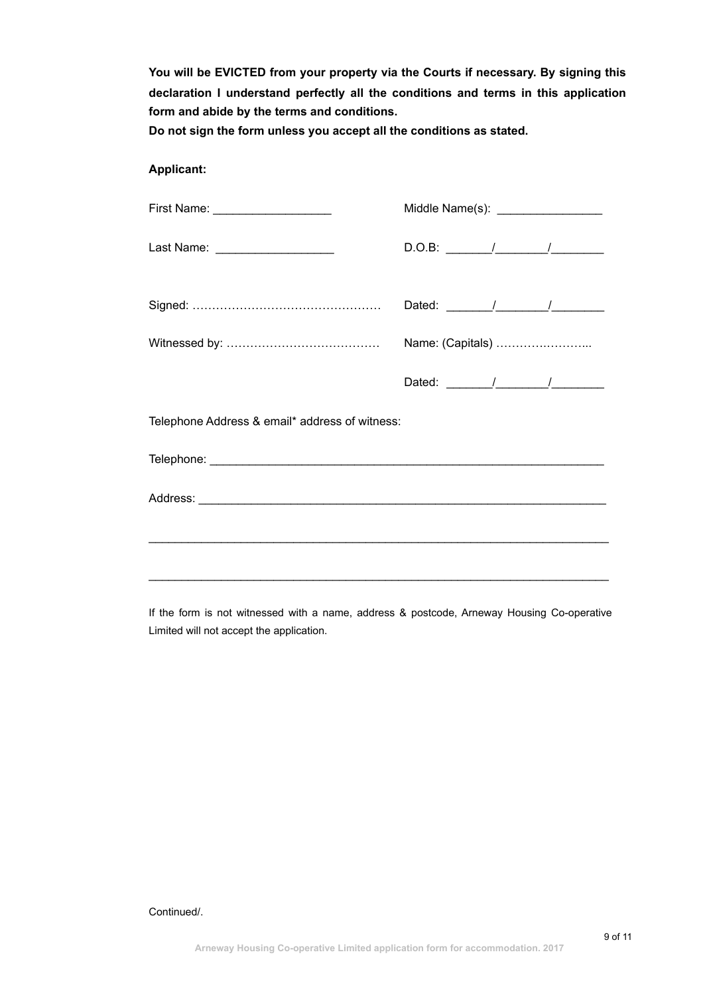**You will be EVICTED from your property via the Courts if necessary. By signing this declaration I understand perfectly all the conditions and terms in this application form and abide by the terms and conditions.**

**Do not sign the form unless you accept all the conditions as stated.** 

## **Applicant:**

| First Name: _____________________              | Middle Name(s): ___________________                                                                                                                                                                                                                                                                                                                                                                                      |
|------------------------------------------------|--------------------------------------------------------------------------------------------------------------------------------------------------------------------------------------------------------------------------------------------------------------------------------------------------------------------------------------------------------------------------------------------------------------------------|
| Last Name: _____________________               |                                                                                                                                                                                                                                                                                                                                                                                                                          |
|                                                |                                                                                                                                                                                                                                                                                                                                                                                                                          |
|                                                | Name: (Capitals)                                                                                                                                                                                                                                                                                                                                                                                                         |
|                                                | Dated: $\frac{1}{\sqrt{1-\frac{1}{2}}}\frac{1}{\sqrt{1-\frac{1}{2}}}\frac{1}{\sqrt{1-\frac{1}{2}}}\frac{1}{\sqrt{1-\frac{1}{2}}}\frac{1}{\sqrt{1-\frac{1}{2}}}\frac{1}{\sqrt{1-\frac{1}{2}}}\frac{1}{\sqrt{1-\frac{1}{2}}}\frac{1}{\sqrt{1-\frac{1}{2}}}\frac{1}{\sqrt{1-\frac{1}{2}}}\frac{1}{\sqrt{1-\frac{1}{2}}}\frac{1}{\sqrt{1-\frac{1}{2}}}\frac{1}{\sqrt{1-\frac{1}{2}}}\frac{1}{\sqrt{1-\frac{1}{2}}}\frac{1}{$ |
| Telephone Address & email* address of witness: |                                                                                                                                                                                                                                                                                                                                                                                                                          |
|                                                |                                                                                                                                                                                                                                                                                                                                                                                                                          |
|                                                |                                                                                                                                                                                                                                                                                                                                                                                                                          |
|                                                |                                                                                                                                                                                                                                                                                                                                                                                                                          |
|                                                |                                                                                                                                                                                                                                                                                                                                                                                                                          |
|                                                |                                                                                                                                                                                                                                                                                                                                                                                                                          |

If the form is not witnessed with a name, address & postcode, Arneway Housing Co-operative Limited will not accept the application.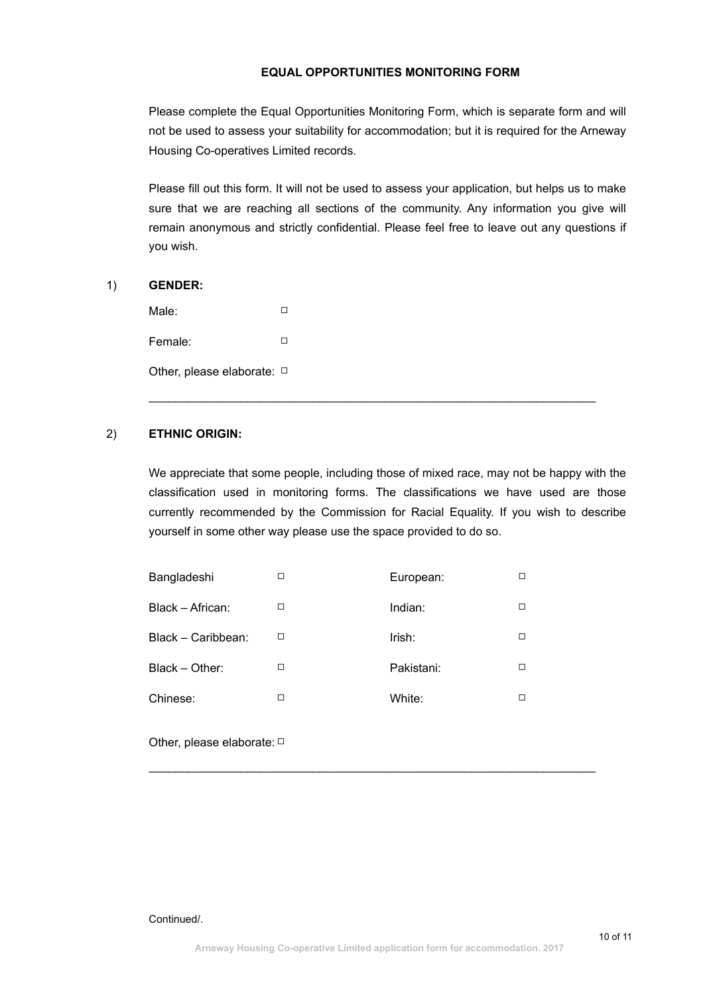## **EQUAL OPPORTUNITIES MONITORING FORM**

Please complete the Equal Opportunities Monitoring Form, which is separate form and will not be used to assess your suitability for accommodation; but it is required for the Arneway Housing Co-operatives Limited records.

Please fill out this form. It will not be used to assess your application, but helps us to make sure that we are reaching all sections of the community. Any information you give will remain anonymous and strictly confidential. Please feel free to leave out any questions if you wish.

### 1) **GENDER:**

Male: □ □ Female: □ Other, please elaborate: □

# 2) **ETHNIC ORIGIN:**

We appreciate that some people, including those of mixed race, may not be happy with the classification used in monitoring forms. The classifications we have used are those currently recommended by the Commission for Racial Equality. If you wish to describe yourself in some other way please use the space provided to do so.

 $\mathcal{L}_\text{G} = \{ \mathcal{L}_\text{G} \mid \mathcal{L}_\text{G} \text{ and } \mathcal{L}_\text{G} \text{ and } \mathcal{L}_\text{G} \text{ and } \mathcal{L}_\text{G} \text{ and } \mathcal{L}_\text{G} \text{ and } \mathcal{L}_\text{G} \text{ and } \mathcal{L}_\text{G} \text{ and } \mathcal{L}_\text{G} \text{ and } \mathcal{L}_\text{G} \text{ and } \mathcal{L}_\text{G} \text{ and } \mathcal{L}_\text{G} \text{ and } \mathcal{L}_\text{G} \text{ and } \$ 

| Bangladeshi        | П | European:  |   |
|--------------------|---|------------|---|
| Black - African:   | □ | Indian:    | □ |
| Black - Caribbean: | □ | Irish:     | □ |
| Black - Other:     | □ | Pakistani: | □ |
| Chinese:           | □ | White:     | □ |
|                    |   |            |   |

Other, please elaborate: □

 $\mathcal{L}_\text{G} = \{ \mathcal{L}_\text{G} \mid \mathcal{L}_\text{G} \text{ and } \mathcal{L}_\text{G} \text{ and } \mathcal{L}_\text{G} \text{ and } \mathcal{L}_\text{G} \text{ and } \mathcal{L}_\text{G} \text{ and } \mathcal{L}_\text{G} \text{ and } \mathcal{L}_\text{G} \text{ and } \mathcal{L}_\text{G} \text{ and } \mathcal{L}_\text{G} \text{ and } \mathcal{L}_\text{G} \text{ and } \mathcal{L}_\text{G} \text{ and } \mathcal{L}_\text{G} \text{ and } \$